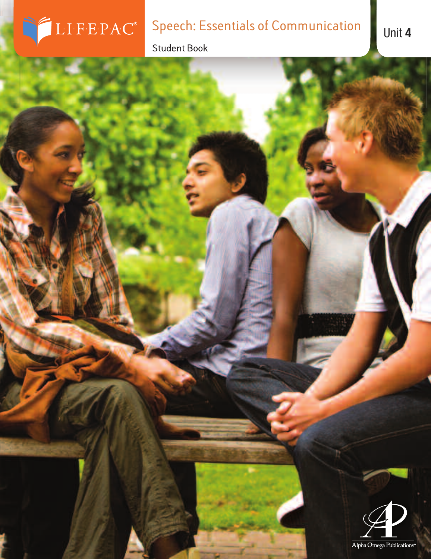# Speech: Essentials of Communication Unit 4

 $LIF\cdot E\cdot P\cdot AC^*$ 

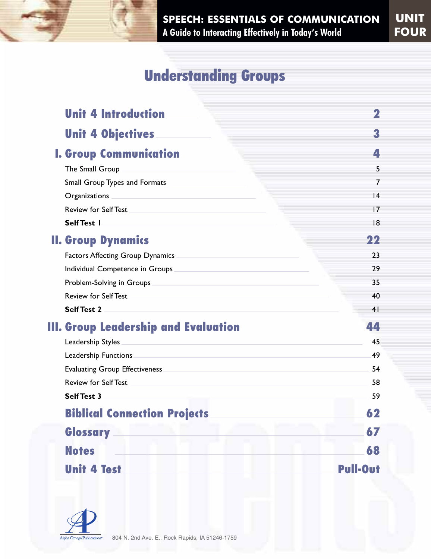### **Understanding Groups**

|  | <b>Unit 4 Introduction</b>              |          |
|--|-----------------------------------------|----------|
|  | <b>Unit 4 Objectives</b>                | 3        |
|  | <b>I. Group Communication</b>           | 4        |
|  | The Small Group                         | 5        |
|  | Small Group Types and Formats           | 7        |
|  | Organizations                           | 4        |
|  | <b>Review for Self Test</b>             | 17       |
|  | Self Test 1                             | 18       |
|  | <b>II. Group Dynamics</b>               | 22       |
|  | <b>Factors Affecting Group Dynamics</b> | 23       |
|  | Individual Competence in Groups         | 29       |
|  | Problem-Solving in Groups               | 35       |
|  | <b>Review for Self Test</b>             | 40       |
|  | <b>Self Test 2</b>                      | 41       |
|  | III. Group Leadership and Evaluation    | 44       |
|  | Leadership Styles                       | 45       |
|  | Leadership Functions                    | 49       |
|  | <b>Evaluating Group Effectiveness</b>   | 54       |
|  | <b>Review for Self Test</b>             | 58       |
|  | <b>Self Test 3</b>                      | 59       |
|  | <b>Biblical Connection Projects</b>     | 62       |
|  | Glossary                                | 67       |
|  | <b>Notes</b>                            | 68       |
|  | <b>Unit 4 Test</b>                      | Pull-Out |

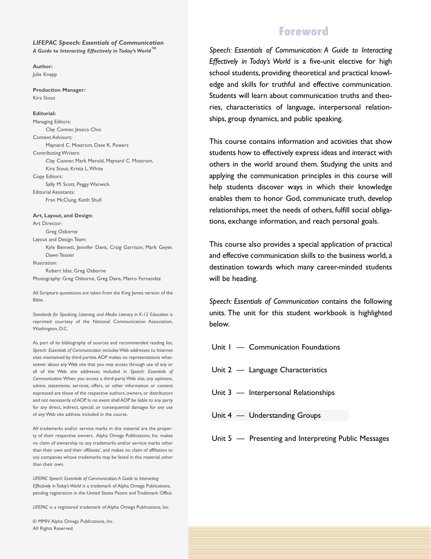*LIFEPAC Speech: Essentials of Communication A Guide to Interacting Effectively in Today's World™*

**Author:** Julie Knapp

**Production Manager:** Kira Stout

#### **Editorial:**

Managing Editors: Clay Conner, Jessica Choi Content Advisors: Maynard C. Mostrom, Dave K. Powers Contributing Writers: Clay Conner, Mark Merold, Maynard C. Mostrom, Kira Stout, Krista L.White Copy Editors: Sally M. Scott, Peggy Warwick Editorial Assistants: Fran McClung, Keith Shull

**Art, Layout, and Design:** Art Director: Greg Osborne Layout and Design Team: Kyle Bennett, Jennifer Davis, Craig Garrison, Mark Geyer, Dawn Tessier Illustration: Robert Islas, Greg Osborne Photography: Greg Osborne, Greg Davis, Marco Fernandez

All Scripture quotations are taken from the King James version of the Bible.

*Standards for Speaking, Listening, and Media Literacy in K-12 Education* is reprinted courtesy of the National Communication Association, Washington, D.C.

As part of its bibliography of sources and recommended reading list, *Speech: Essentials of Communication* includesWeb addresses to Internet sites maintained by third parties.AOP makes no representations whatsoever about anyWeb site that you may access through use of any or all of the Web site addresses included in *Speech: Essentials of Communication*.When you access a third-party Web site, any opinions, advice, statements, services, offers, or other information or content expressed are those of the respective authors, owners, or distributors and not necessarily of AOP. In no event shall AOP be liable to any party for any direct, indirect, special, or consequential damages for any use of anyWeb site address included in the course.

All trademarks and/or service marks in this material are the property of their respective owners. Alpha Omega Publications, Inc. makes no claim of ownership to any trademarks and/or service marks other than their own and their affiliates', and makes no claim of affiliation to any companies whose trademarks may be listed in this material, other than their own.

*LIFEPAC Speech: Essentials of Communication:A Guide to Interacting Effectively in Today'sWorld* is a trademark of Alpha Omega Publications, pending registration in the United States Patent and Trademark Office.

*LIFEPAC* is a registered trademark of Alpha Omega Publications, Inc.

© MMIV Alpha Omega Publications, Inc. All Rights Reserved.

#### **Foreword**

*Speech: Essentials of Communication: A Guide to Interacting Effectively in Today's World* is a five-unit elective for high school students, providing theoretical and practical knowledge and skills for truthful and effective communication. Students will learn about communication truths and theories, characteristics of language, interpersonal relationships, group dynamics, and public speaking.

This course contains information and activities that show students how to effectively express ideas and interact with others in the world around them. Studying the units and applying the communication principles in this course will help students discover ways in which their knowledge enables them to honor God, communicate truth, develop relationships, meet the needs of others, fulfill social obligations, exchange information, and reach personal goals.

This course also provides a special application of practical and effective communication skills to the business world, a destination towards which many career-minded students will be heading.

*Speech: Essentials of Communication* contains the following units. The unit for this student workbook is highlighted below.

- Unit 1 Communication Foundations
- Unit 2 Language Characteristics
- Unit 3 Interpersonal Relationships
- Unit 4 Understanding Groups

Unit 5 — Presenting and Interpreting Public Messages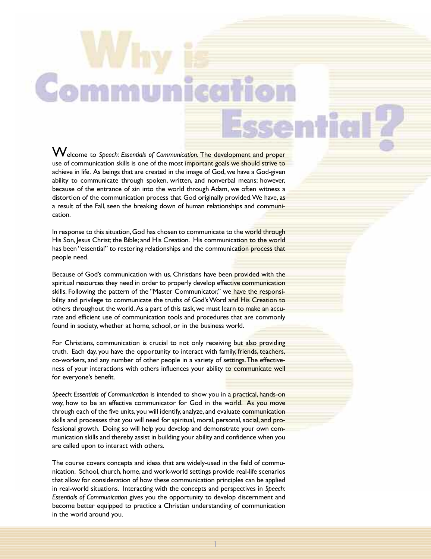Welcome to *Speech: Essentials of Communication.* The development and proper use of communication skills is one of the most important goals we should strive to achieve in life. As beings that are created in the image of God, we have a God-given ability to communicate through spoken, written, and nonverbal means; however, because of the entrance of sin into the world through Adam, we often witness a distortion of the communication process that God originally provided.We have, as a result of the Fall, seen the breaking down of human relationships and communication.

In response to this situation, God has chosen to communicate to the world through His Son, Jesus Christ; the Bible; and His Creation. His communication to the world has been "essential" to restoring relationships and the communication process that people need.

Because of God's communication with us, Christians have been provided with the spiritual resources they need in order to properly develop effective communication skills. Following the pattern of the "Master Communicator," we have the responsibility and privilege to communicate the truths of God's Word and His Creation to others throughout the world. As a part of this task, we must learn to make an accurate and efficient use of communication tools and procedures that are commonly found in society, whether at home, school, or in the business world.

For Christians, communication is crucial to not only receiving but also providing truth. Each day, you have the opportunity to interact with family, friends, teachers, co-workers, and any number of other people in a variety of settings.The effectiveness of your interactions with others influences your ability to communicate well for everyone's benefit.

*Speech: Essentials of Communication* is intended to show you in a practical, hands-on way, how to be an effective communicator for God in the world. As you move through each of the five units, you will identify, analyze, and evaluate communication skills and processes that you will need for spiritual, moral, personal, social, and professional growth. Doing so will help you develop and demonstrate your own communication skills and thereby assist in building your ability and confidence when you are called upon to interact with others.

The course covers concepts and ideas that are widely-used in the field of communication. School, church, home, and work-world settings provide real-life scenarios that allow for consideration of how these communication principles can be applied in real-world situations. Interacting with the concepts and perspectives in *Speech: Essentials of Communication* gives you the opportunity to develop discernment and become better equipped to practice a Christian understanding of communication in the world around you.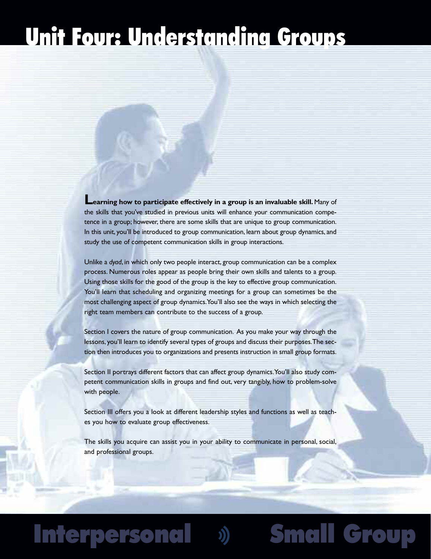# **Unit Four: Understanding Groups**

**Learning how to participate effectively in <sup>a</sup> group is an invaluable skill.** Many of the skills that you've studied in previous units will enhance your communication competence in a group; however, there are some skills that are unique to group communication. In this unit, you'll be introduced to group communication, learn about group dynamics, and study the use of competent communication skills in group interactions.

Unlike a *dyad*, in which only two people interact, group communication can be a complex process. Numerous roles appear as people bring their own skills and talents to a group. Using those skills for the good of the group is the key to effective group communication. You'll learn that scheduling and organizing meetings for a group can sometimes be the most challenging aspect of group dynamics.You'll also see the ways in which selecting the right team members can contribute to the success of a group.

Section I covers the nature of group communication. As you make your way through the lessons, you'll learn to identify several types of groups and discuss their purposes.The section then introduces you to organizations and presents instruction in small group formats.

Section II portrays different factors that can affect group dynamics.You'll also study competent communication skills in groups and find out, very tangibly, how to problem-solve with people.

Section III offers you a look at different leadership styles and functions as well as teaches you how to evaluate group effectiveness.

The skills you acquire can assist you in your ability to communicate in personal, social, and professional groups.

**Interpersonal Small Group**

## **Interpersonal**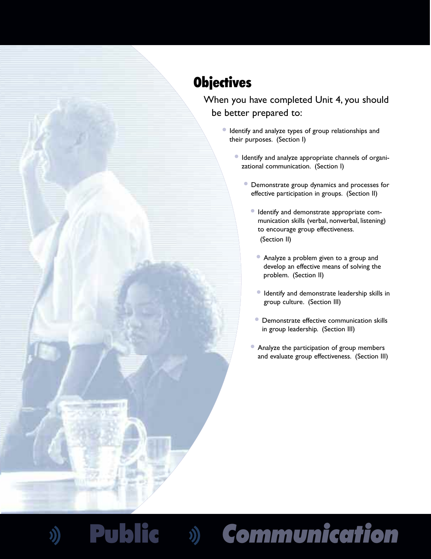### **Objectives**

When you have completed Unit 4, you should be better prepared to:

- **•** Identify and analyze types of group relationships and their purposes. (Section I)
	- **•** Identify and analyze appropriate channels of organizational communication. (Section I)
		- **•** Demonstrate group dynamics and processes for effective participation in groups. (Section II)
			- **•** Identify and demonstrate appropriate communication skills (verbal, nonverbal, listening) to encourage group effectiveness. (Section II)
				- **•** Analyze a problem given to a group and develop an effective means of solving the problem. (Section II)
				- **•** Identify and demonstrate leadership skills in group culture. (Section III)
			- **•** Demonstrate effective communication skills in group leadership. (Section III)
			- **•** Analyze the participation of group members and evaluate group effectiveness. (Section III)

**Public** *Communication*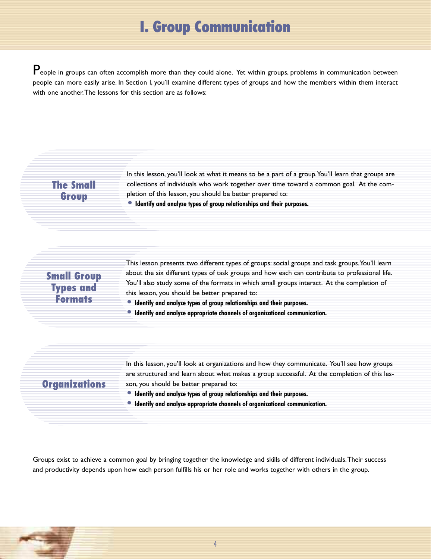### **I. Group Communication**

People in groups can often accomplish more than they could alone. Yet within groups, problems in communication between people can more easily arise. In Section I, you'll examine different types of groups and how the members within them interact with one another.The lessons for this section are as follows:

#### **The Small Group**

In this lesson, you'll look at what it means to be a part of a group. You'll learn that groups are collections of individuals who work together over time toward a common goal. At the completion of this lesson, you should be better prepared to:

**• Identify and analyze types of group relationships and their purposes.**

#### **Small Group Types and Formats**

This lesson presents two different types of groups: social groups and task groups.You'll learn about the six different types of task groups and how each can contribute to professional life. You'll also study some of the formats in which small groups interact. At the completion of this lesson, you should be better prepared to:

- **• Identify and analyze types of group relationships and their purposes.**
- **• Identify and analyze appropriate channels of organizational communication.**

#### **Organizations**

In this lesson, you'll look at organizations and how they communicate. You'll see how groups are structured and learn about what makes a group successful. At the completion of this lesson, you should be better prepared to:

- **• Identify and analyze types of group relationships and their purposes.**
- **• Identify and analyze appropriate channels of organizational communication.**

Groups exist to achieve a common goal by bringing together the knowledge and skills of different individuals.Their success and productivity depends upon how each person fulfills his or her role and works together with others in the group.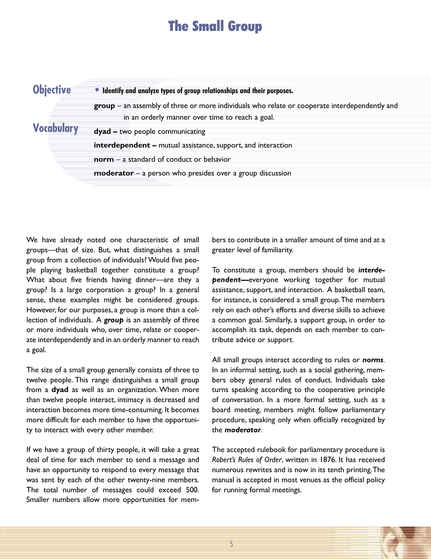### **The Small Group**

| <b>Objective</b> | • Identify and analyze types of group relationships and their purposes.                         |  |  |
|------------------|-------------------------------------------------------------------------------------------------|--|--|
|                  | $group - an assembly of three or more individuals who relate or cooperate interdependently and$ |  |  |
|                  | in an orderly manner over time to reach a goal.                                                 |  |  |
|                  | dyad - two people communicating                                                                 |  |  |
|                  | <b>interdependent -</b> mutual assistance, support, and interaction                             |  |  |
|                  | $norm - a standard of conductor$                                                                |  |  |
|                  | $moderator - a person who presides over a group discussion$                                     |  |  |

We have already noted one characteristic of small groups—that of size. But, what distinguishes a small group from a collection of individuals? Would five people playing basketball together constitute a group? What about five friends having dinner—are they a group? Is a large corporation a group? In a general sense, these examples might be considered groups. However, for our purposes, a group is more than a collection of individuals. A *group* is an assembly of three or more individuals who, over time, relate or cooperate interdependently and in an orderly manner to reach a goal.

The size of a small group generally consists of three to twelve people. This range distinguishes a small group from a **dyad** as well as an organization. When more than twelve people interact, intimacy is decreased and interaction becomes more time-consuming. It becomes more difficult for each member to have the opportunity to interact with every other member.

If we have a group of thirty people, it will take a great deal of time for each member to send a message and have an opportunity to respond to every message that was sent by each of the other twenty-nine members. The total number of messages could exceed 500. Smaller numbers allow more opportunities for mem-

bers to contribute in a smaller amount of time and at a greater level of familiarity.

To constitute a group, members should be *interdependent—*everyone working together for mutual assistance, support, and interaction. A basketball team, for instance, is considered a small group.The members rely on each other's efforts and diverse skills to achieve a common goal. Similarly, a support group, in order to accomplish its task, depends on each member to contribute advice or support.

All small groups interact according to rules or *norms*. In an informal setting, such as a social gathering, members obey general rules of conduct. Individuals take turns speaking according to the cooperative principle of conversation. In a more formal setting, such as a board meeting, members might follow parliamentary procedure, speaking only when officially recognized by the *moderator*.

The accepted rulebook for parliamentary procedure is *Robert's Rules of Order* , written in 1876. It has received *i* numerous rewrites and is now in its tenth printing.The manual is accepted in most venues as the official policy for running formal meetings.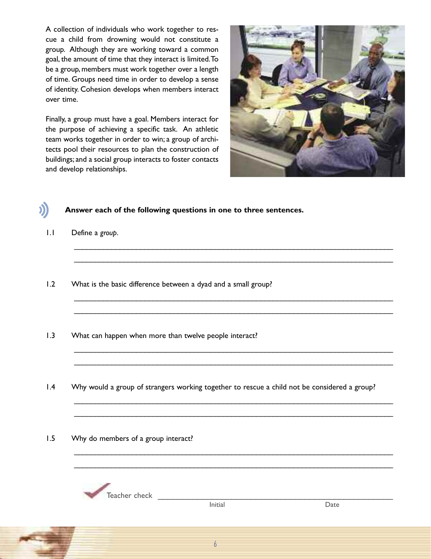A collection of individuals who work together to rescue a child from drowning would not constitute a group. Although they are working toward a common goal, the amount of time that they interact is limited. To be a group, members must work together over a length of time. Groups need time in order to develop a sense of identity. Cohesion develops when members interact over time.

Finally, a group must have a goal. Members interact for the purpose of achieving a specific task. An athletic team works together in order to win; a group of architects pool their resources to plan the construction of buildings; and a social group interacts to foster contacts and develop relationships.



#### **Answer each of the following questions in one to three sentences.**

- 1.1 Define a *group*.
- 1.2 What is the basic difference between a dyad and a small group?
- 1.3 What can happen when more than twelve people interact?
- 1.4 Why would a group of strangers working together to rescue a child not be considered a group?

\_\_\_\_\_\_\_\_\_\_\_\_\_\_\_\_\_\_\_\_\_\_\_\_\_\_\_\_\_\_\_\_\_\_\_\_\_\_\_\_\_\_\_\_\_\_\_\_\_\_\_\_\_\_\_\_\_\_\_\_\_\_\_\_\_\_\_\_\_\_\_\_\_\_\_\_\_ \_\_\_\_\_\_\_\_\_\_\_\_\_\_\_\_\_\_\_\_\_\_\_\_\_\_\_\_\_\_\_\_\_\_\_\_\_\_\_\_\_\_\_\_\_\_\_\_\_\_\_\_\_\_\_\_\_\_\_\_\_\_\_\_\_\_\_\_\_\_\_\_\_\_\_\_\_

\_\_\_\_\_\_\_\_\_\_\_\_\_\_\_\_\_\_\_\_\_\_\_\_\_\_\_\_\_\_\_\_\_\_\_\_\_\_\_\_\_\_\_\_\_\_\_\_\_\_\_\_\_\_\_\_\_\_\_\_\_\_\_\_\_\_\_\_\_\_\_\_\_\_\_\_\_ \_\_\_\_\_\_\_\_\_\_\_\_\_\_\_\_\_\_\_\_\_\_\_\_\_\_\_\_\_\_\_\_\_\_\_\_\_\_\_\_\_\_\_\_\_\_\_\_\_\_\_\_\_\_\_\_\_\_\_\_\_\_\_\_\_\_\_\_\_\_\_\_\_\_\_\_\_

\_\_\_\_\_\_\_\_\_\_\_\_\_\_\_\_\_\_\_\_\_\_\_\_\_\_\_\_\_\_\_\_\_\_\_\_\_\_\_\_\_\_\_\_\_\_\_\_\_\_\_\_\_\_\_\_\_\_\_\_\_\_\_\_\_\_\_\_\_\_\_\_\_\_\_\_\_ \_\_\_\_\_\_\_\_\_\_\_\_\_\_\_\_\_\_\_\_\_\_\_\_\_\_\_\_\_\_\_\_\_\_\_\_\_\_\_\_\_\_\_\_\_\_\_\_\_\_\_\_\_\_\_\_\_\_\_\_\_\_\_\_\_\_\_\_\_\_\_\_\_\_\_\_\_

\_\_\_\_\_\_\_\_\_\_\_\_\_\_\_\_\_\_\_\_\_\_\_\_\_\_\_\_\_\_\_\_\_\_\_\_\_\_\_\_\_\_\_\_\_\_\_\_\_\_\_\_\_\_\_\_\_\_\_\_\_\_\_\_\_\_\_\_\_\_\_\_\_\_\_\_\_ \_\_\_\_\_\_\_\_\_\_\_\_\_\_\_\_\_\_\_\_\_\_\_\_\_\_\_\_\_\_\_\_\_\_\_\_\_\_\_\_\_\_\_\_\_\_\_\_\_\_\_\_\_\_\_\_\_\_\_\_\_\_\_\_\_\_\_\_\_\_\_\_\_\_\_\_\_

\_\_\_\_\_\_\_\_\_\_\_\_\_\_\_\_\_\_\_\_\_\_\_\_\_\_\_\_\_\_\_\_\_\_\_\_\_\_\_\_\_\_\_\_\_\_\_\_\_\_\_\_\_\_\_\_\_\_\_\_\_\_\_\_\_\_\_\_\_\_\_\_\_\_\_\_\_ \_\_\_\_\_\_\_\_\_\_\_\_\_\_\_\_\_\_\_\_\_\_\_\_\_\_\_\_\_\_\_\_\_\_\_\_\_\_\_\_\_\_\_\_\_\_\_\_\_\_\_\_\_\_\_\_\_\_\_\_\_\_\_\_\_\_\_\_\_\_\_\_\_\_\_\_\_

1.5 Why do members of a group interact?

Teacher check \_\_\_\_\_\_\_\_\_\_\_\_\_\_\_\_\_\_\_\_\_\_\_\_\_\_\_\_\_\_\_\_\_\_\_\_\_\_\_\_\_\_\_\_\_\_\_\_

Date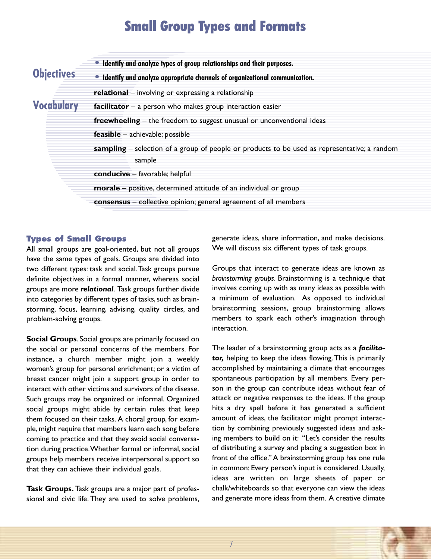### **Small Group Types and Formats**

|            | • Identify and analyze types of group relationships and their purposes.                                |
|------------|--------------------------------------------------------------------------------------------------------|
| Objectives | • Identify and analyze appropriate channels of organizational communication.                           |
|            | <b>relational</b> – involving or expressing a relationship                                             |
| Vocabulary | facilitator $-$ a person who makes group interaction easier                                            |
|            | <b>freewheeling</b> $-$ the freedom to suggest unusual or unconventional ideas                         |
|            | $feasible - achievable; possible$                                                                      |
|            | sampling – selection of a group of people or products to be used as representative; a random<br>sample |
|            | conducive - favorable; helpful                                                                         |
|            | morale - positive, determined attitude of an individual or group                                       |
|            | consensus - collective opinion; general agreement of all members                                       |

#### **Types of Small Groups**

All small groups are goal-oriented, but not all groups have the same types of goals. Groups are divided into two different types: task and social.Task groups pursue definite objectives in a formal manner, whereas social groups are more *relational*. Task groups further divide into categories by different types of tasks, such as brainstorming, focus, learning, advising, quality circles, and problem-solving groups.

**Social Groups**. Social groups are primarily focused on the social or personal concerns of the members. For instance, a church member might join a weekly women's group for personal enrichment; or a victim of breast cancer might join a support group in order to interact with other victims and survivors of the disease. Such groups may be organized or informal. Organized social groups might abide by certain rules that keep them focused on their tasks. A choral group, for example, might require that members learn each song before coming to practice and that they avoid social conversation during practice. Whether formal or informal, social groups help members receive interpersonal support so that they can achieve their individual goals.

**Task Groups.** Task groups are a major part of professional and civic life. They are used to solve problems, generate ideas, share information, and make decisions. We will discuss six different types of task groups.

Groups that interact to generate ideas are known as *brainstorming groups*. Brainstorming is a technique that involves coming up with as many ideas as possible with a minimum of evaluation. As opposed to individual brainstorming sessions, group brainstorming allows members to spark each other's imagination through interaction.

The leader of a brainstorming group acts as a *facilitator,* helping to keep the ideas flowing.This is primarily accomplished by maintaining a climate that encourages spontaneous participation by all members. Every person in the group can contribute ideas without fear of attack or negative responses to the ideas. If the group hits a dry spell before it has generated a sufficient amount of ideas, the facilitator might prompt interaction by combining previously suggested ideas and asking members to build on it: "Let's consider the results of distributing a survey and placing a suggestion box in front of the office."A brainstorming group has one rule in common: Every person's input is considered. Usually, ideas are written on large sheets of paper or chalk/whiteboards so that everyone can view the ideas and generate more ideas from them. A creative climate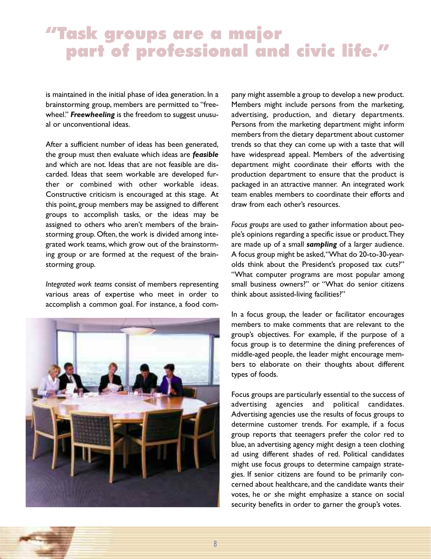### **"Task groups are a major part of professional and civic life. "**

is maintained in the initial phase of idea generation. In a brainstorming group, members are permitted to "freewheel." *Freewheeling* is the freedom to suggest unusual or unconventional ideas.

After a sufficient number of ideas has been generated, the group must then evaluate which ideas are *feasible* and which are not. Ideas that are not feasible are discarded. Ideas that seem workable are developed further or combined with other workable ideas. Constructive criticism is encouraged at this stage. At this point, group members may be assigned to different groups to accomplish tasks, or the ideas may be assigned to others who aren't members of the brainstorming group. Often, the work is divided among integrated work teams, which grow out of the brainstorming group or are formed at the request of the brainstorming group.

*Integrated work teams* consist of members representing various areas of expertise who meet in order to accomplish a common goal. For instance, a food com-



pany might assemble a group to develop a new product. Members might include persons from the marketing, advertising, production, and dietary departments. Persons from the marketing department might inform members from the dietary department about customer trends so that they can come up with a taste that will have widespread appeal. Members of the advertising department might coordinate their efforts with the production department to ensure that the product is packaged in an attractive manner. An integrated work team enables members to coordinate their efforts and draw from each other's resources.

*Focus groups* are used to gather information about people's opinions regarding a specific issue or product.They are made up of a small *sampling* of a larger audience. A focus group might be asked,"What do 20-to-30-yearolds think about the President's proposed tax cuts?" "What computer programs are most popular among small business owners?" or "What do senior citizens think about assisted-living facilities?"

In a focus group, the leader or facilitator encourages members to make comments that are relevant to the group's objectives. For example, if the purpose of a focus group is to determine the dining preferences of middle-aged people, the leader might encourage members to elaborate on their thoughts about different types of foods.

Focus groups are particularly essential to the success of advertising agencies and political candidates. Advertising agencies use the results of focus groups to determine customer trends. For example, if a focus group reports that teenagers prefer the color red to blue, an advertising agency might design a teen clothing ad using different shades of red. Political candidates might use focus groups to determine campaign strategies. If senior citizens are found to be primarily concerned about healthcare, and the candidate wants their votes, he or she might emphasize a stance on social security benefits in order to garner the group's votes.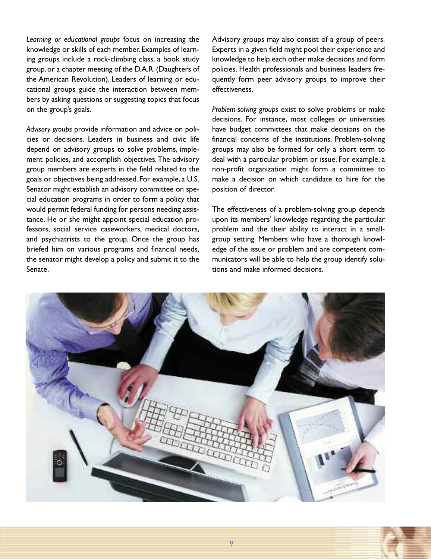*Learning or educational groups* focus on increasing the knowledge or skills of each member. Examples of learning groups include a rock-climbing class, a book study group, or a chapter meeting of the D.A.R.(Daughters of the American Revolution). Leaders of learning or educational groups guide the interaction between members by asking questions or suggesting topics that focus on the group's goals.

*Advisory groups* provide information and advice on policies or decisions. Leaders in business and civic life depend on advisory groups to solve problems, implement policies, and accomplish objectives.The advisory group members are experts in the field related to the goals or objectives being addressed. For example, a U.S. Senator might establish an advisory committee on special education programs in order to form a policy that would permit federal funding for persons needing assistance. He or she might appoint special education professors, social service caseworkers, medical doctors, and psychiatrists to the group. Once the group has briefed him on various programs and financial needs, the senator might develop a policy and submit it to the Senate.

Advisory groups may also consist of a group of peers. Experts in a given field might pool their experience and knowledge to help each other make decisions and form policies. Health professionals and business leaders frequently form peer advisory groups to improve their effectiveness.

*Problem-solving groups* exist to solve problems or make decisions. For instance, most colleges or universities have budget committees that make decisions on the financial concerns of the institutions. Problem-solving groups may also be formed for only a short term to deal with a particular problem or issue. For example, a non-profit organization might form a committee to make a decision on which candidate to hire for the position of director.

The effectiveness of a problem-solving group depends upon its members' knowledge regarding the particular problem and the their ability to interact in a smallgroup setting. Members who have a thorough knowledge of the issue or problem and are competent communicators will be able to help the group identify solutions and make informed decisions.

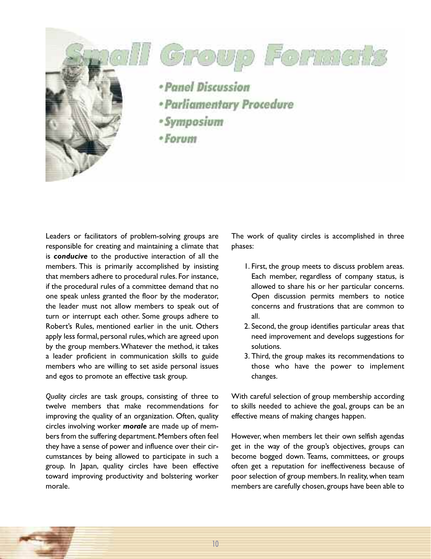





- · Panel Discussion
- · Parliamentary Procedure
- · Symposium
- $-$ Forum

Leaders or facilitators of problem-solving groups are responsible for creating and maintaining a climate that is *conducive* to the productive interaction of all the members. This is primarily accomplished by insisting that members adhere to procedural rules. For instance, if the procedural rules of a committee demand that no one speak unless granted the floor by the moderator, the leader must not allow members to speak out of turn or interrupt each other. Some groups adhere to Robert's Rules, mentioned earlier in the unit. Others apply less formal, personal rules, which are agreed upon by the group members.Whatever the method, it takes a leader proficient in communication skills to guide members who are willing to set aside personal issues and egos to promote an effective task group.

*Quality circles* are task groups, consisting of three to twelve members that make recommendations for improving the quality of an organization. Often, quality circles involving worker *morale* are made up of members from the suffering department. Members often feel they have a sense of power and influence over their circumstances by being allowed to participate in such a group. In Japan, quality circles have been effective toward improving productivity and bolstering worker morale.

The work of quality circles is accomplished in three phases:

- 1. First, the group meets to discuss problem areas. Each member, regardless of company status, is allowed to share his or her particular concerns. Open discussion permits members to notice concerns and frustrations that are common to all.
- 2. Second, the group identifies particular areas that need improvement and develops suggestions for solutions.
- 3. Third, the group makes its recommendations to those who have the power to implement changes.

With careful selection of group membership according to skills needed to achieve the goal, groups can be an effective means of making changes happen.

However, when members let their own selfish agendas get in the way of the group's objectives, groups can become bogged down. Teams, committees, or groups often get a reputation for ineffectiveness because of poor selection of group members. In reality, when team members are carefully chosen, groups have been able to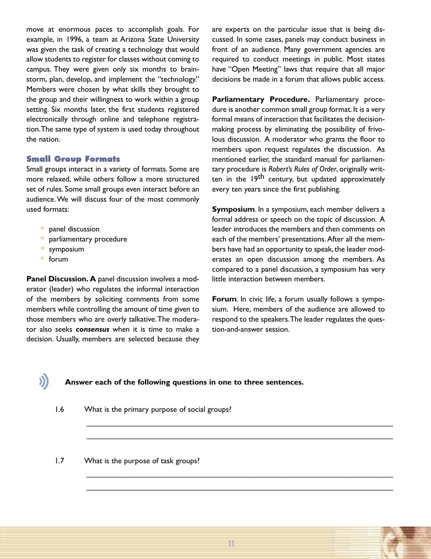move at enormous paces to accomplish goals. For example, in 1996, a team at Arizona State University was given the task of creating a technology that would allow students to register for classes without coming to campus. They were given only six months to brainstorm, plan, develop, and implement the "technology." Members were chosen by what skills they brought to the group and their willingness to work within a group setting. Six months later, the first students registered electronically through online and telephone registration.The same type of system is used today throughout the nation.

#### **Small Group Formats**

Small groups interact in a variety of formats. Some are more relaxed, while others follow a more structured set of rules. Some small groups even interact before an audience.We will discuss four of the most commonly used formats:

- **•** panel discussion
- **•** parliamentary procedure
- **•** symposium
- **•** forum

J)

**Panel Discussion. A** panel discussion involves a moderator (leader) who regulates the informal interaction of the members by soliciting comments from some members while controlling the amount of time given to those members who are overly talkative.The moderator also seeks *consensus* when it is time to make a decision. Usually, members are selected because they are experts on the particular issue that is being discussed. In some cases, panels may conduct business in front of an audience. Many government agencies are required to conduct meetings in public. Most states have "Open Meeting" laws that require that all major decisions be made in a forum that allows public access.

**Parliamentary Procedure.** Parliamentary procedure is another common small group format. It is a very formal means of interaction that facilitates the decisionmaking process by eliminating the possibility of frivolous discussion. A moderator who grants the floor to members upon request regulates the discussion. As mentioned earlier, the standard manual for parliamentary procedure is *Robert's Rules of Order*, originally written in the 19<sup>th</sup> century, but updated approximately every ten years since the first publishing.

**Symposium**. In a symposium, each member delivers a formal address or speech on the topic of discussion. A leader introduces the members and then comments on each of the members' presentations.After all the members have had an opportunity to speak, the leader moderates an open discussion among the members. As compared to a panel discussion, a symposium has very little interaction between members.

**Forum**. In civic life, a forum usually follows a symposium. Here, members of the audience are allowed to respond to the speakers.The leader regulates the question-and-answer session.

#### **Answer each of the following questions in one to three sentences.**

1.6 What is the primary purpose of social groups?

1.7 What is the purpose of task groups?

\_\_\_\_\_\_\_\_\_\_\_\_\_\_\_\_\_\_\_\_\_\_\_\_\_\_\_\_\_\_\_\_\_\_\_\_\_\_\_\_\_\_\_\_\_\_\_\_\_\_\_\_\_\_\_\_\_\_\_\_\_\_\_\_\_\_\_\_\_\_\_\_\_\_ \_\_\_\_\_\_\_\_\_\_\_\_\_\_\_\_\_\_\_\_\_\_\_\_\_\_\_\_\_\_\_\_\_\_\_\_\_\_\_\_\_\_\_\_\_\_\_\_\_\_\_\_\_\_\_\_\_\_\_\_\_\_\_\_\_\_\_\_\_\_\_\_\_\_

\_\_\_\_\_\_\_\_\_\_\_\_\_\_\_\_\_\_\_\_\_\_\_\_\_\_\_\_\_\_\_\_\_\_\_\_\_\_\_\_\_\_\_\_\_\_\_\_\_\_\_\_\_\_\_\_\_\_\_\_\_\_\_\_\_\_\_\_\_\_\_\_\_\_ \_\_\_\_\_\_\_\_\_\_\_\_\_\_\_\_\_\_\_\_\_\_\_\_\_\_\_\_\_\_\_\_\_\_\_\_\_\_\_\_\_\_\_\_\_\_\_\_\_\_\_\_\_\_\_\_\_\_\_\_\_\_\_\_\_\_\_\_\_\_\_\_\_\_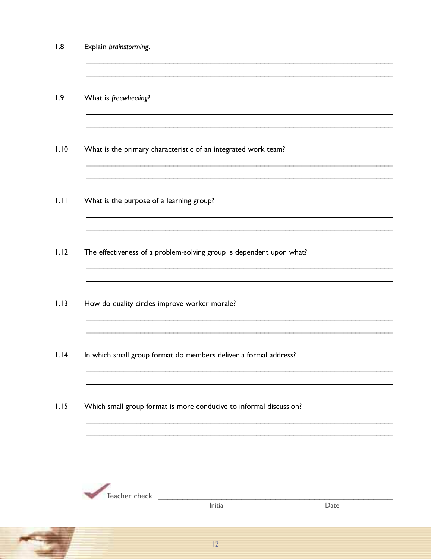$1.8$ Explain brainstorming.

 $1.9$ What is freewheeling?

- $1.10$ What is the primary characteristic of an integrated work team?
- $1.11$ What is the purpose of a learning group?
- $1.12$ The effectiveness of a problem-solving group is dependent upon what?
- $1.13$ How do quality circles improve worker morale?
- $1.14$ In which small group format do members deliver a formal address?
- $1.15$ Which small group format is more conducive to informal discussion?



Initial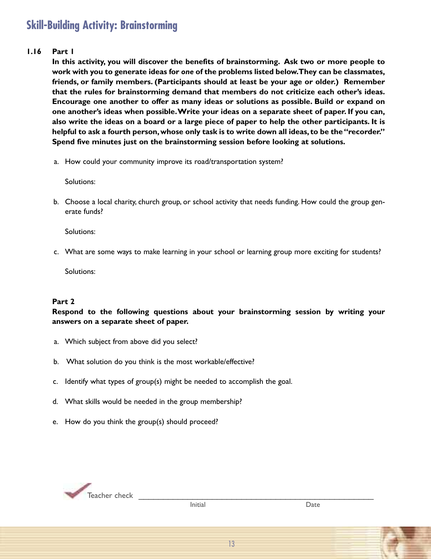### **Skill-Building Activity: Brainstorming**

#### **1.16 Part 1**

**In this activity, you will discover the benefits of brainstorming. Ask two or more people to work with you to generate ideas for** *one* **of the problems listed below.They can be classmates, friends, or family members. (Participants should at least be your age or older.) Remember that the rules for brainstorming demand that members do not criticize each other's ideas. Encourage one another to offer as many ideas or solutions as possible. Build or expand on one another's ideas when possible.Write your ideas on a separate sheet of paper. If you can,** also write the ideas on a board or a large piece of paper to help the other participants. It is **helpful to ask a fourth person,whose only task is to write down all ideas, to be the"recorder." Spend five minutes just on the brainstorming session before looking at solutions.**

a. How could your community improve its road/transportation system?

Solutions:

b. Choose a local charity, church group, or school activity that needs funding. How could the group generate funds?

Solutions:

c. What are some ways to make learning in your school or learning group more exciting for students?

Solutions:

#### **Part 2**

**Respond to the following questions about your brainstorming session by writing your answers on a separate sheet of paper.**

- a. Which subject from above did you select?
- b. What solution do you think is the most workable/effective?
- c. Identify what types of group(s) might be needed to accomplish the goal.
- d. What skills would be needed in the group membership?
- e. How do you think the group(s) should proceed?

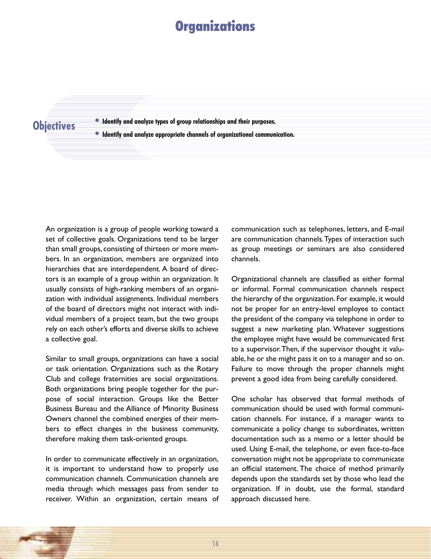### **Organizations**

#### **Objectives**

**• Identify and analyze types of group relationships and their purposes.**

**• Identify and analyze appropriate channels of organizational communication.**

An organization is a group of people working toward a set of collective goals. Organizations tend to be larger than small groups, consisting of thirteen or more members. In an organization, members are organized into hierarchies that are interdependent. A board of directors is an example of a group within an organization. It usually consists of high-ranking members of an organization with individual assignments. Individual members of the board of directors might not interact with individual members of a project team, but the two groups rely on each other's efforts and diverse skills to achieve a collective goal.

Similar to small groups, organizations can have a social or task orientation. Organizations such as the Rotary Club and college fraternities are social organizations. Both organizations bring people together for the purpose of social interaction. Groups like the Better Business Bureau and the Alliance of Minority Business Owners channel the combined energies of their members to effect changes in the business community, therefore making them task-oriented groups.

In order to communicate effectively in an organization, it is important to understand how to properly use communication channels. Communication channels are media through which messages pass from sender to receiver. Within an organization, certain means of communication such as telephones, letters, and E-mail are communication channels.Types of interaction such as group meetings or seminars are also considered channels.

Organizational channels are classified as either formal or informal. Formal communication channels respect the hierarchy of the organization. For example, it would not be proper for an entry-level employee to contact the president of the company via telephone in order to suggest a new marketing plan. Whatever suggestions the employee might have would be communicated first to a supervisor.Then, if the supervisor thought it valuable, he or she might pass it on to a manager and so on. Failure to move through the proper channels might prevent a good idea from being carefully considered.

One scholar has observed that formal methods of communication should be used with formal communication channels. For instance, if a manager wants to communicate a policy change to subordinates, written documentation such as a memo or a letter should be used. Using E-mail, the telephone, or even face-to-face conversation might not be appropriate to communicate an official statement. The choice of method primarily depends upon the standards set by those who lead the organization. If in doubt, use the formal, standard approach discussed here.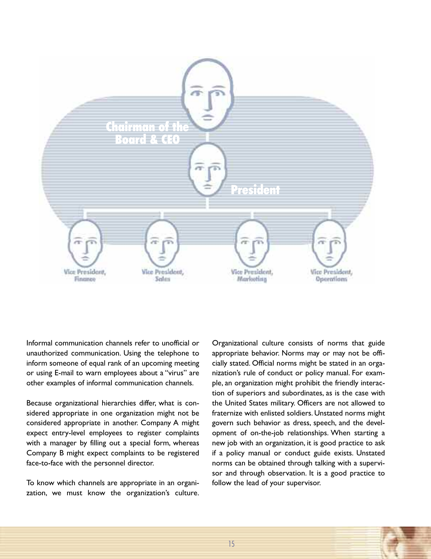

Informal communication channels refer to unofficial or unauthorized communication. Using the telephone to inform someone of equal rank of an upcoming meeting or using E-mail to warn employees about a "virus" are other examples of informal communication channels.

Because organizational hierarchies differ, what is considered appropriate in one organization might not be considered appropriate in another. Company A might expect entry-level employees to register complaints with a manager by filling out a special form, whereas Company B might expect complaints to be registered face-to-face with the personnel director.

To know which channels are appropriate in an organization, we must know the organization's culture.

Organizational culture consists of norms that guide appropriate behavior. Norms may or may not be officially stated. Official norms might be stated in an organization's rule of conduct or policy manual. For example, an organization might prohibit the friendly interaction of superiors and subordinates, as is the case with the United States military. Officers are not allowed to fraternize with enlisted soldiers. Unstated norms might govern such behavior as dress, speech, and the development of on-the-job relationships. When starting a new job with an organization, it is good practice to ask if a policy manual or conduct guide exists. Unstated norms can be obtained through talking with a supervisor and through observation. It is a good practice to follow the lead of your supervisor.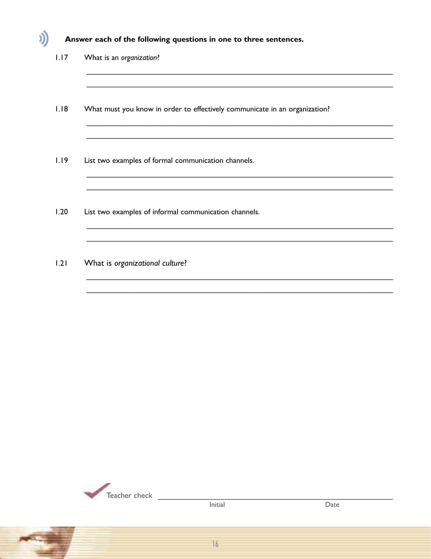#### Answer each of the following questions in one to three sentences.

 $1.17$ What is an organization?

J)

- $1.18$ What must you know in order to effectively communicate in an organization?
- $1.19$ List two examples of formal communication channels.
- $1.20$ List two examples of informal communication channels.
- $1.21$ What is organizational culture?



Initial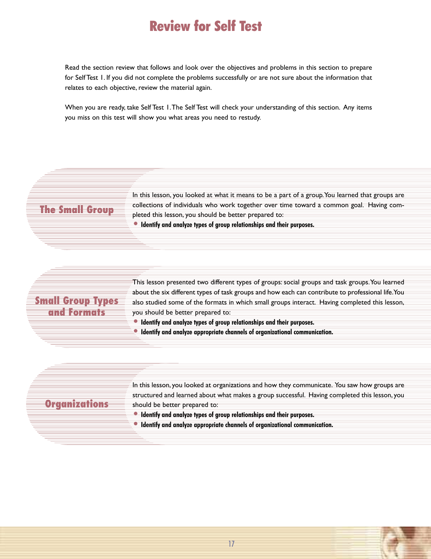### **Review for Self Test**

Read the section review that follows and look over the objectives and problems in this section to prepare for Self Test 1. If you did not complete the problems successfully or are not sure about the information that relates to each objective, review the material again.

When you are ready, take Self Test 1.The Self Test will check your understanding of this section. Any items you miss on this test will show you what areas you need to restudy.

#### **The Small Group**

In this lesson, you looked at what it means to be a part of a group. You learned that groups are collections of individuals who work together over time toward a common goal. Having completed this lesson, you should be better prepared to:

**• Identify and analyze types of group relationships and their purposes.**

#### **Small Group Types and Formats**

This lesson presented two different types of groups: social groups and task groups. You learned about the six different types of task groups and how each can contribute to professional life.You also studied some of the formats in which small groups interact. Having completed this lesson, you should be better prepared to:

In this lesson, you looked at organizations and how they communicate. You saw how groups are structured and learned about what makes a group successful. Having completed this lesson, you

- **• Identify and analyze types of group relationships and their purposes.**
- **• Identify and analyze appropriate channels of organizational communication.**

#### **Organizations**

**• Identify and analyze types of group relationships and their purposes.**

should be better prepared to:

**• Identify and analyze appropriate channels of organizational communication.**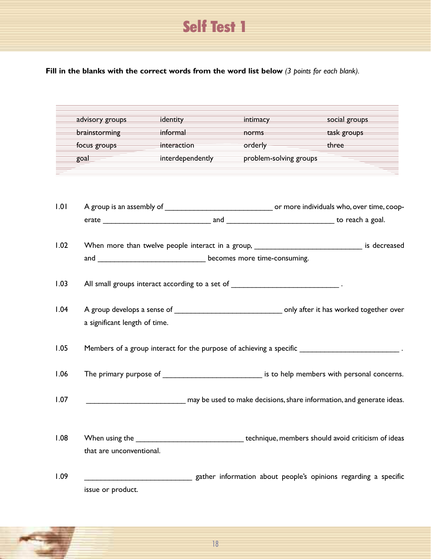### **Self Test 1**

**Fill in the blanks with the correct words from the word list below** *(3 points for each blank).*

|      | advisory groups<br>brainstorming                                                               | identity<br>informal                                                              | intimacy<br>norms                                                                                                                                                                                                             | social groups<br>task groups                                                                      |  |  |
|------|------------------------------------------------------------------------------------------------|-----------------------------------------------------------------------------------|-------------------------------------------------------------------------------------------------------------------------------------------------------------------------------------------------------------------------------|---------------------------------------------------------------------------------------------------|--|--|
|      | focus groups                                                                                   | interaction                                                                       | orderly and the control of the control of the control of the control of the control of the control of the control of the control of the control of the control of the control of the control of the control of the control of | three                                                                                             |  |  |
|      | goal                                                                                           | interdependently                                                                  | problem-solving groups                                                                                                                                                                                                        |                                                                                                   |  |  |
|      |                                                                                                |                                                                                   |                                                                                                                                                                                                                               |                                                                                                   |  |  |
| 1.01 |                                                                                                |                                                                                   |                                                                                                                                                                                                                               |                                                                                                   |  |  |
|      |                                                                                                |                                                                                   |                                                                                                                                                                                                                               |                                                                                                   |  |  |
| 1.02 | When more than twelve people interact in a group, _______________________________ is decreased |                                                                                   |                                                                                                                                                                                                                               |                                                                                                   |  |  |
|      |                                                                                                | and __________________________________ becomes more time-consuming.               |                                                                                                                                                                                                                               |                                                                                                   |  |  |
| 1.03 |                                                                                                | All small groups interact according to a set of ________________________________. |                                                                                                                                                                                                                               |                                                                                                   |  |  |
| 1.04 | a significant length of time.                                                                  |                                                                                   |                                                                                                                                                                                                                               |                                                                                                   |  |  |
| 1.05 |                                                                                                |                                                                                   |                                                                                                                                                                                                                               | Members of a group interact for the purpose of achieving a specific ____________________________. |  |  |
| 1.06 |                                                                                                |                                                                                   |                                                                                                                                                                                                                               | The primary purpose of _____________________________ is to help members with personal concerns.   |  |  |
| 1.07 |                                                                                                |                                                                                   |                                                                                                                                                                                                                               | may be used to make decisions, share information, and generate ideas.                             |  |  |
| 1.08 | that are unconventional.                                                                       |                                                                                   |                                                                                                                                                                                                                               | When using the subsequences are the technique, members should avoid criticism of ideas            |  |  |
| 1.09 | issue or product.                                                                              |                                                                                   |                                                                                                                                                                                                                               | gather information about people's opinions regarding a specific                                   |  |  |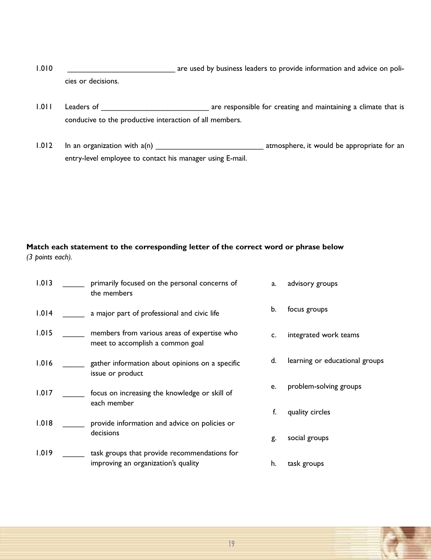1.010 **was constructed to the same of the same of the same of the same of the same of the same of the same of the same of the same of the same of the same of the same of the same of the same of the same of the same of the** cies or decisions.

- 1.011 Leaders of \_\_\_\_\_\_\_\_\_\_\_\_\_\_\_\_\_\_\_\_\_\_\_\_\_\_\_\_\_\_\_\_ are responsible for creating and maintaining a climate that is conducive to the productive interaction of all members.
- 1.012 In an organization with a(n) \_\_\_\_\_\_\_\_\_\_\_\_\_\_\_\_\_\_\_\_\_\_\_\_\_\_ atmosphere, it would be appropriate for an entry-level employee to contact his manager using E-mail.

#### **Match each statement to the corresponding letter of the correct word or phrase below** *(3 points each).*

| 1.013 | primarily focused on the personal concerns of<br>the members                        | a. | advisory groups                |
|-------|-------------------------------------------------------------------------------------|----|--------------------------------|
| 1.014 | a major part of professional and civic life                                         | b. | focus groups                   |
| 1.015 | members from various areas of expertise who<br>meet to accomplish a common goal     | c. | integrated work teams          |
| 1.016 | gather information about opinions on a specific<br>issue or product                 | d. | learning or educational groups |
| 1.017 | focus on increasing the knowledge or skill of<br>each member                        | e. | problem-solving groups         |
| 1.018 | provide information and advice on policies or                                       | f. | quality circles                |
|       | decisions                                                                           | g. | social groups                  |
| 1.019 | task groups that provide recommendations for<br>improving an organization's quality | h. | task groups                    |

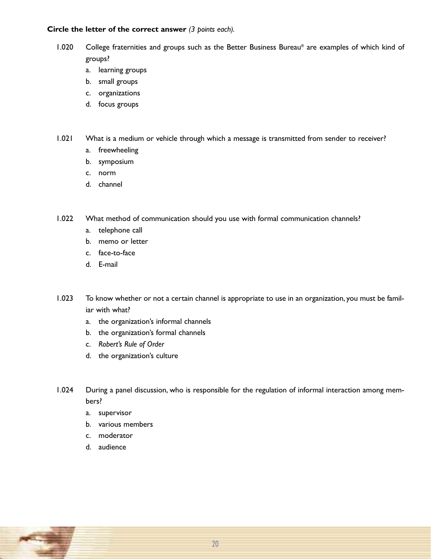#### **Circle the letter of the correct answer** *(3 points each).*

- 1.020 College fraternities and groups such as the Better Business Bureau® are examples of which kind of groups?
	- a. learning groups
	- b. small groups
	- c. organizations
	- d. focus groups
- 1.021 What is a medium or vehicle through which a message is transmitted from sender to receiver?
	- a. freewheeling
	- b. symposium
	- c. norm
	- d. channel
- 1.022 What method of communication should you use with formal communication channels?
	- a. telephone call
	- b. memo or letter
	- c. face-to-face
	- d. E-mail
- 1.023 To know whether or not a certain channel is appropriate to use in an organization, you must be familiar with what?
	- a. the organization's informal channels
	- b. the organization's formal channels
	- c. *Robert's Rule of Order*
	- d. the organization's culture
- 1.024 During a panel discussion, who is responsible for the regulation of informal interaction among members?
	- a. supervisor
	- b. various members
	- c. moderator
	- d. audience